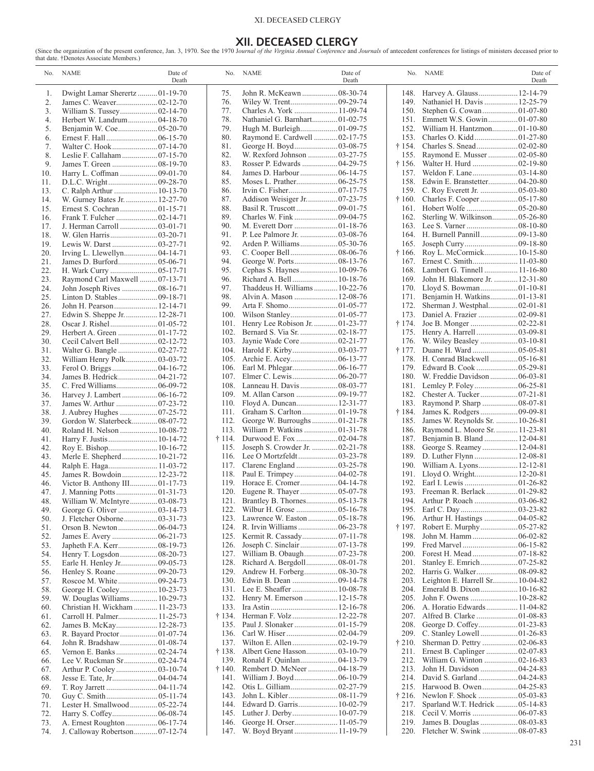# XI. DECEASED CLERGY

**XII. DECEASED CLERGY**<br>that date. †Denotes Associate Members.)<br>that date. †Denotes Associate Members.)

|            | No. NAME<br>Date of<br>Death                          |                | No. NAME<br>Date of<br>Death                               |              | No. NAME                                                      | Date of<br>Death |
|------------|-------------------------------------------------------|----------------|------------------------------------------------------------|--------------|---------------------------------------------------------------|------------------|
| 1.         | Dwight Lamar Sherertz01-19-70                         | 75.            | John R. McKeawn  08-30-74                                  |              | 148. Harvey A. Glauss 12-14-79                                |                  |
| 2.         | James C. Weaver02-12-70                               | 76.            |                                                            | 149.         | Nathaniel H. Davis  12-25-79                                  |                  |
| 3.         |                                                       | 77.            |                                                            | 150.         |                                                               |                  |
| 4.         | Herbert W. Landrum 04-18-70                           | 78.            | Nathaniel G. Barnhart01-02-75                              | 151.         | Emmett W.S. Gowin01-07-80                                     |                  |
| 5.         |                                                       | 79.            | Hugh M. Burleigh01-09-75                                   | 152.         | William H. Hantzmon01-10-80                                   |                  |
| 6.         |                                                       | 80.            | Raymond E. Cardwell  02-17-75                              | 153.         |                                                               |                  |
| 7.         |                                                       | 81.            | George H. Boyd03-08-75                                     | † 154.       |                                                               |                  |
| 8.         | Leslie F. Callaham  07-15-70                          | 82.            | W. Rexford Johnson  03-27-75                               | 155.         | Raymond E. Musser02-05-80                                     |                  |
| 9.         |                                                       | 83.            |                                                            | † 156.       |                                                               |                  |
| 10.        | Harry L. Coffman  09-01-70                            | 84.            | James D. Harbour  06-14-75                                 | 157.         |                                                               |                  |
| 11.        |                                                       | 85.            |                                                            | 158.         | Edwin E. Branstetter 04-20-80                                 |                  |
| 13.        | C. Ralph Arthur  10-13-70                             | 86.            |                                                            | 159.         |                                                               |                  |
| 14.        | W. Gurney Bates Jr.  12-27-70                         | 87.            |                                                            | † 160.       |                                                               |                  |
| 15.        |                                                       | 88.            |                                                            | 161.         |                                                               |                  |
| 16.        |                                                       | 89.            |                                                            | 162.         | Sterling W. Wilkinson 05-26-80                                |                  |
| 17.        | J. Herman Carroll  03-01-71                           | 90.<br>91.     | P. Lee Palmore Jr.  03-08-76                               | 163.<br>164. | H. Burnell Pannill 09-13-80                                   |                  |
| 18.<br>19. | Lewis W. Darst  03-27-71                              | 92.            | Arden P. Williams 05-30-76                                 | 165.         |                                                               |                  |
| 20.        |                                                       | 93.            |                                                            | † 166.       | Roy L. McCormick 10-15-80                                     |                  |
| 21.        |                                                       | 94.            |                                                            | 167.         |                                                               |                  |
| 22.        |                                                       | 95.            |                                                            | 168.         | Lambert G. Tinnell  11-16-80                                  |                  |
| 23.        | Raymond Carl Maxwell 07-13-71                         | 96.            | Richard A. Bell  10-18-76                                  | 169.         | John H. Blakemore Jr.  12-31-80                               |                  |
| 24.        | John Joseph Rives  08-16-71                           | 97.            | Thaddeus H. Williams 10-22-76                              | 170.         |                                                               |                  |
| 25.        |                                                       | 98.            | Alvin A. Mason  12-08-76                                   | 171.         | Benjamin H. Watkins01-13-81                                   |                  |
| 26.        | John H. Pearson 12-14-71                              | 99.            |                                                            | 172.         | Sherman J. Westphal02-01-81                                   |                  |
| 27.        | Edwin S. Sheppe Jr.  12-28-71                         | 100.           |                                                            | 173.         | Daniel A. Frazier 02-09-81                                    |                  |
| 28.        |                                                       | 101.           | Henry Lee Robison Jr.  01-23-77                            | † 174.       |                                                               |                  |
| 29.        | Herbert A. Green  01-17-72                            | 102.           |                                                            | 175.         | Henry A. Harrell03-09-81                                      |                  |
| 30.        |                                                       | 103.           |                                                            | 176.         |                                                               |                  |
| 31.        | Walter G. Bangle  02-27-72                            |                |                                                            | † 177.       |                                                               |                  |
| 32.        | William Henry Polk03-03-72                            | 105.           |                                                            | 178.         | H. Conrad Blackwell  05-16-81                                 |                  |
| 33.        |                                                       | 106.           |                                                            | 179.         |                                                               |                  |
| 34.        |                                                       | 107.           |                                                            | 180.         | W. Freddie Davidson 06-03-81                                  |                  |
| 35.        | C. Fred Williams 06-09-72                             |                |                                                            | 181.         |                                                               |                  |
| 36.        |                                                       |                |                                                            | 182.         | Chester A. Tucker07-21-81                                     |                  |
| 37.        |                                                       | 110.           |                                                            | 183.         | Raymond P. Sharp  08-07-81                                    |                  |
| 38.        |                                                       | 111.           |                                                            | † 184.       |                                                               |                  |
| 39.        | Gordon W. Slaterbeck08-07-72                          | 112.           | George W. Burroughs01-21-78                                | 185.         | James W. Reynolds Sr.  10-26-81                               |                  |
| 40.        | Roland H. Nelson  10-08-72                            | 113.           | William P. Watkins  01-31-78                               | 186.         | Raymond L. Moore Sr.  11-23-81<br>Benjamin B. Bland  12-04-81 |                  |
| 41.<br>42. | Harry F. Justis  10-14-72                             | † 114.<br>115. | Durwood E. Fox 02-04-78<br>Joseph S. Crowder Jr.  02-21-78 | 187.<br>188. | George S. Reamey 12-04-81                                     |                  |
| 43.        | Merle E. Shepherd 10-21-72                            | 116.           |                                                            | 189.         | D. Luther Flynn  12-08-81                                     |                  |
| 44.        |                                                       | 117.           |                                                            | 190.         | William A. Lyons 12-12-81                                     |                  |
| 45.        | James R. Bowdoin 12-23-72                             | 118.           |                                                            | 191.         | Lloyd O. Wright 12-20-81                                      |                  |
| 46.        | Victor B. Anthony III01-17-73                         | 119.           |                                                            | 192.         |                                                               |                  |
| 47.        |                                                       | 120.           |                                                            |              | 193. Freeman R. Berlack 01-29-82                              |                  |
| 48.        | William W. McIntyre03-08-73                           |                | 121. Brantley B. Thornes 05-13-78                          |              |                                                               |                  |
| 49.        | George G. Oliver  03-14-73                            |                |                                                            |              |                                                               |                  |
| 50.        |                                                       | 123.           |                                                            | 196.         | Arthur H. Hastings  04-05-82                                  |                  |
| 51.        | Orson B. Newton  06-04-73                             | 124.           | R. Irvin Williams  06-23-78                                | † 197.       | Robert E. Murphy 05-27-82                                     |                  |
| 52.        |                                                       | 125.           |                                                            | 198.         |                                                               |                  |
| 53.        |                                                       | 126.           |                                                            | 199.         |                                                               |                  |
| 54.        |                                                       | 127.           | William B. Obaugh 07-23-78                                 | <b>200.</b>  |                                                               |                  |
| 55.        |                                                       | 128.           |                                                            | 201.         |                                                               |                  |
| 56.        |                                                       | 129.           |                                                            | 202.         | Harris G. Walker 08-09-82                                     |                  |
| 57.        |                                                       | 130.           | Edwin B. Dean  09-14-78                                    | 203.         | Leighton E. Harrell Sr 10-04-82                               |                  |
| 58.        |                                                       |                |                                                            | 204.         | Emerald B. Dixon 10-16-82                                     |                  |
| 59.        | W. Douglas Williams 10-29-73                          |                | 132. Henry M. Emerson  12-15-78                            | 205.         | John F. Owens  10-28-82                                       |                  |
| 60.        | Christian H. Wickham  11-23-73                        | 133.           |                                                            | 206.         | A. Horatio Edwards 11-04-82                                   |                  |
| 61.        | Carroll H. Palmer 11-25-73<br>James B. McKay 12-28-73 |                | † 134. Herman F. Volz 12-22-78                             | 208.         |                                                               |                  |
| 62.<br>63. |                                                       | 136.           |                                                            | 209.         | C. Stanley Lowell01-26-83                                     |                  |
| 64.        | John R. Bradshaw01-08-74                              | 137.           |                                                            | † 210.       |                                                               |                  |
| 65.        | Vernon E. Banks02-24-74                               | † 138.         | Albert Gene Hasson 03-10-79                                | 211.         | Ernest B. Caplinger  02-07-83                                 |                  |
| 66.        | Lee V. Ruckman Sr02-24-74                             |                | 139. Ronald F. Quinlan 04-13-79                            | 212.         | William G. Winton  02-16-83                                   |                  |
| 67.        |                                                       | † 140.         | Rembert D. McNeer  04-18-79                                | 213.         | John H. Davidson  04-24-83                                    |                  |
| 68.        |                                                       | 141.           |                                                            | 214.         |                                                               |                  |
| 69.        |                                                       | 142.           |                                                            | 215.         | Harwood B. Owen 04-25-83                                      |                  |
| 70.        |                                                       | 143.           |                                                            | † 216.       |                                                               |                  |
| 71.        | Lester H. Smallwood 05-22-74                          | 144.           | Edward D. Garris 10-02-79                                  | 217.         | Sparland W.T. Hedrick  05-14-83                               |                  |
| 72.        | Harry S. Coffey 06-08-74                              | 145.           |                                                            | 218.         |                                                               |                  |
| 73.        | A. Ernest Roughton  06-17-74                          | 146.           | George H. Orser 11-05-79                                   | 219.         | James B. Douglas  08-03-83                                    |                  |
| 74.        | J. Calloway Robertson 07-12-74                        |                |                                                            |              | 220. Fletcher W. Swink  08-07-83                              |                  |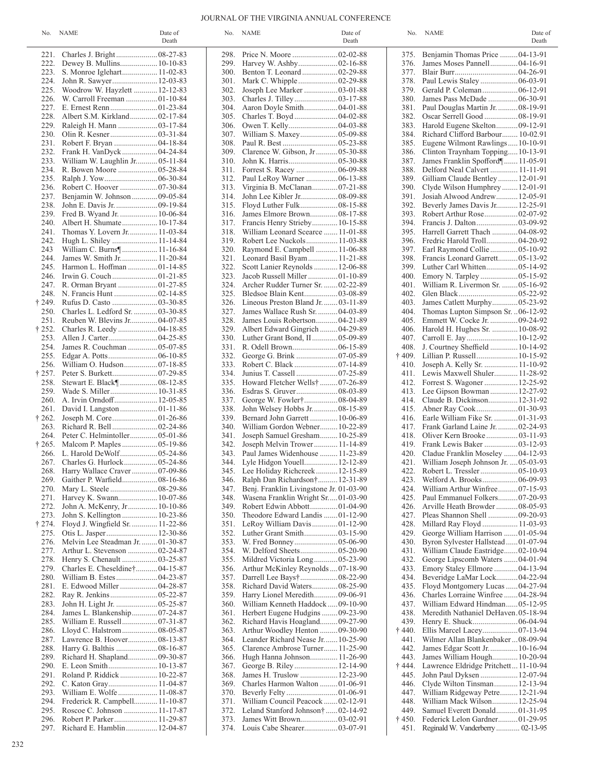### JOURNAL OF THE VIRGINIA ANNUAL CONFERENCE

|        | No. NAME                            | Date of<br>Death |      | No. NAME                                                         | Date of<br>Death |                | No. NAME                                  | Date of<br>Death |
|--------|-------------------------------------|------------------|------|------------------------------------------------------------------|------------------|----------------|-------------------------------------------|------------------|
|        | 221. Charles J. Bright 08-27-83     |                  | 298. | Price N. Moore 02-02-88                                          |                  | 375.           | Benjamin Thomas Price  04-13-91           |                  |
| 222.   | Dewey B. Mullins 10-10-83           |                  | 299. |                                                                  |                  | 376.           | James Moses Pannell 04-16-91              |                  |
| 223.   | S. Monroe Iglehart 11-02-83         |                  | 300. | Benton T. Leonard  02-29-88                                      |                  | 377.           |                                           |                  |
| 224.   | John R. Sawyer 12-03-83             |                  | 301. |                                                                  |                  | 378.           |                                           |                  |
| 225.   | Woodrow W. Hayzlett  12-12-83       |                  | 302. | Joseph Lee Marker  03-01-88                                      |                  | 379.           |                                           |                  |
| 226.   | W. Carroll Freeman 01-10-84         |                  | 303. |                                                                  |                  | 380.           | James Pass McDade  06-30-91               |                  |
| 227.   |                                     |                  |      | Aaron Doyle Smith 04-01-88                                       |                  |                |                                           |                  |
|        |                                     |                  | 304. |                                                                  |                  | 381.           | Paul Douglas Martin Jr.  08-19-91         |                  |
| 228.   | Albert S.M. Kirkland02-17-84        |                  | 305. |                                                                  |                  | 382.           |                                           |                  |
| 229.   |                                     |                  | 306. |                                                                  |                  | 383.           | Harold Eugene Skelton09-12-91             |                  |
| 230.   |                                     |                  | 307. | William S. Maxey 05-09-88                                        |                  | 384.           | Richard Clifford Barbour 10-02.91         |                  |
| 231.   |                                     |                  | 308. |                                                                  |                  | 385.           | Eugene Wilmont Rawlings10-10-91           |                  |
| 232.   |                                     |                  | 309. | Clarence W. Gibson, Jr 05-30-88                                  |                  | 386.           | Clinton Traynham Topping10-13-91          |                  |
| 233.   | William W. Laughlin Jr 05-11-84     |                  | 310. |                                                                  |                  | 387.           | James Franklin Spofford¶ 11-05-91         |                  |
| 234.   |                                     |                  | 311. |                                                                  |                  | 388.           | Delford Neal Calvert  11-11-91            |                  |
| 235.   |                                     |                  | 312. | Paul LeRoy Warner  06-13-88                                      |                  | 389.           | Gilliam Claude Bentley 12-01-91           |                  |
| 236.   |                                     |                  | 313. | Virginia B. McClanan07-21-88                                     |                  | 390.           | Clyde Wilson Humphrey  12-01-91           |                  |
| 237.   |                                     |                  | 314. |                                                                  |                  | 391.           | Josiah Alwood Andrew 12-05-91             |                  |
| 238.   | John E. Davis Jr.  09-19-84         |                  | 315. |                                                                  |                  | 392.           | Beverly James Davis Jr 12-25-91           |                  |
| 239.   | Fred B. Wyand Jr.  10-06-84         |                  | 316. | James Elmore Brown 08-17-88                                      |                  | 393.           |                                           |                  |
| 240.   |                                     |                  | 317. |                                                                  |                  | 394.           |                                           |                  |
|        |                                     |                  |      | Francis Henry Strieby 10-15-88                                   |                  |                | Harrell Garrett Thach  04-08-92           |                  |
| 241.   | Thomas Y. Lovern Jr 11-03-84        |                  | 318. | William Leonard Scearce  11-01-88                                |                  | 395.           |                                           |                  |
| 242.   | Hugh L. Shiley  11-14-84            |                  | 319. | Robert Lee Nuckols 11-03-88                                      |                  | 396.           | Fredric Harold Troll 04-20-92             |                  |
| 243    | William C. Burns¶ 11-16-84          |                  | 320. | Raymond E. Campbell  11-06-88                                    |                  | 397.           | Earl Raymond Collie 05-10-92              |                  |
| 244.   | James W. Smith Jr 11-20-84          |                  | 321. | Leonard Basil Byam 11-21-88                                      |                  | 398.           | Francis Leonard Garrett 05-13-92          |                  |
| 245.   | Harmon L. Hoffman 01-14-85          |                  | 322. | Scott Lanier Reynolds  12-06-88                                  |                  | 399.           |                                           |                  |
| 246.   |                                     |                  | 323. | Jacob Russell Miller 01-10-89                                    |                  | 400.           |                                           |                  |
| 247.   | R. Orman Bryant 01-27-85            |                  | 324. | Archer Rudder Turner Sr.  02-22-89                               |                  | 401.           | William R. Livermon Sr.  05-16-92         |                  |
|        |                                     |                  | 325. | Bledsoe Blain Kent03-08-89                                       |                  | 402.           |                                           |                  |
| † 249. |                                     |                  | 326. | Lineous Preston Bland Jr.  03-11-89                              |                  | 403.           | James Catlett Murphy05-23-92              |                  |
| 250.   | Charles L. Ledford Sr.  03-30-85    |                  | 327. | James Wallace Rush Sr.  04-03-89                                 |                  | 404.           | Thomas Lupton Simpson Sr. 06-12-92        |                  |
| 251.   | Reuben W. Blevins Jr 04-07-85       |                  | 328. | James Louis Robertson 04-21-89                                   |                  | 405.           | Emmett W. Cocke Jr.  09-24-92             |                  |
| † 252. |                                     |                  | 329. | Albert Edward Gingrich  04-29-89                                 |                  | 406.           | Harold H. Hughes Sr.  10-08-92            |                  |
|        |                                     |                  |      |                                                                  |                  |                |                                           |                  |
| 253.   |                                     |                  | 330. | Luther Grant Bond, II 05-09-89                                   |                  | 407.           |                                           |                  |
| 254.   | James R. Couchman  05-07-85         |                  | 331. |                                                                  |                  | 408.           | J. Courtney Sheffield  10-14-92           |                  |
| 255.   |                                     |                  | 332. |                                                                  |                  | † 409.         | Lillian P. Russell 10-15-92               |                  |
| 256.   |                                     |                  | 333. |                                                                  |                  | 410.           | Joseph A. Kelly Sr.  11-10-92             |                  |
| † 257. |                                     |                  | 334. |                                                                  |                  | 411.           | Lewis Maxwell Shuler 11-28-92             |                  |
| 258.   |                                     |                  | 335. | Howard Fletcher Wells† 07-26-89                                  |                  | 412.           | Forrest S. Wagoner  12-25-92              |                  |
| 259.   |                                     |                  | 336. |                                                                  |                  | 413.           | Lee Gipson Bowman 12-27-92                |                  |
| 260.   | A. Irvin Orndoff 12-05-85           |                  | 337. | George W. Fowler†08-04-89                                        |                  | 414.           | Claude B. Dickinson 12-31-92              |                  |
| 261.   | David I. Langston  01-11-86         |                  | 338. | John Welsey Hobbs Jr 08-15-89                                    |                  | 415.           | Abner Ray Cook 01-30-93                   |                  |
| † 262. |                                     |                  | 339. | Bernard John Garrett  10-06-89                                   |                  | 416.           | Earle William Fike Sr.  01-31-93          |                  |
| 263.   |                                     |                  | 340. | William Gordon Webner 10-22-89                                   |                  | 417.           | Frank Garland Laine Jr.  02-24-93         |                  |
|        | 264. Peter C. Helmintoller 05-01-86 |                  | 341. | Joseph Samuel Gresham 10-25-89                                   |                  | 418.           |                                           |                  |
| † 265. | Malcom P. Maples  05-19-86          |                  | 342. |                                                                  |                  | 419.           | Frank Lewis Baker  03-12-93               |                  |
|        |                                     |                  | 343. | Joseph Melvin Trower 11-14-89<br>Paul James Widenhouse  11-23-89 |                  | 420.           |                                           |                  |
|        |                                     |                  |      |                                                                  |                  |                | Cladue Franklin Moseley 04-12-93          |                  |
|        | 267. Charles G. Hurlock 05-24-86    |                  | 344. | Lyle Hidgon Youell 12-12-89                                      |                  |                | 421. William Joseph Johnson Jr.  05-03-93 |                  |
| 268.   | Harry Wallace Craver07-09-86        |                  | 345. | Lee Holiday Richcreek 12-15-89                                   |                  | 422.           |                                           |                  |
| 269.   | Gaither P. Warfield 08-16-86        |                  | 346. | Ralph Dan Richardson† 12-31-89                                   |                  | 423.           |                                           |                  |
| 270.   |                                     |                  | 347. | Benj. Franklin Livingstone Jr. 01-03-90                          |                  | 424.           | William Arthur Winfree07-15-93            |                  |
| 271.   |                                     |                  | 348. | Wasena Franklin Wright Sr01-03-90                                |                  | 425.           | Paul Emmanuel Folkers07-20-93             |                  |
| 272.   | John A. McKenry, Jr 10-10-86        |                  | 349. | Robert Edwin Abbott01-04-90                                      |                  | 426.           | Arville Heath Browder 08-05-93            |                  |
| 273.   | John S. Kellington  10-23-86        |                  | 350. | Theodore Edward Landis 01-12-90                                  |                  | 427.           | Pleas Shannon Shell  09-20-93             |                  |
| † 274. | Floyd J. Wingfield Sr.  11-22-86    |                  | 351. | LeRoy William Davis01-12-90                                      |                  | 428.           | Millard Ray Floyd  11-03-93               |                  |
| 275.   | Otis L. Jasper 12-30-86             |                  | 352. |                                                                  |                  | 429.           | George William Harrison  01-05-94         |                  |
| 276.   | Melvin Lee Steadman Jr. 01-30-87    |                  | 353. |                                                                  |                  | 430.           | Byron Sylvester Hallstead01-07-94         |                  |
| 277.   | Arthur L. Stevenson 02-24-87        |                  | 354. |                                                                  |                  | 431.           | William Claude Eastridge 02-10-94         |                  |
| 278.   |                                     |                  | 355. | Mildred Victoria Long05-23-90                                    |                  | 432.           | George Lipscomb Waters  04-01-94          |                  |
|        |                                     |                  |      |                                                                  |                  |                | Emory Staley Ellmore  04-13-94            |                  |
| 279.   | Charles E. Cheseldine†04-15-87      |                  | 356. | Arthur McKinley Reynolds  07-18-90                               |                  | 433.           |                                           |                  |
| 280.   |                                     |                  | 357. |                                                                  |                  | 434.           | Beveridge LaMar Lock 04-22-94             |                  |
| 281.   |                                     |                  | 358. | Richard David Waters 08-25-90                                    |                  | 435.           | Floyd Montgomery Lucas  04-27-94          |                  |
| 282.   |                                     |                  | 359. | Harry Lionel Meredith09-06-91                                    |                  | 436.           | Charles Lorraine Winfree04-28-94          |                  |
| 283.   | John H. Light Jr.  05-25-87         |                  | 360. | William Kenneth Haddock 09-10-90                                 |                  | 437.           | William Edward Hindman05-12-95            |                  |
| 284.   | James L. Blankenship07-24-87        |                  | 361. | Herbert Eugene Hudgins 09-23-90                                  |                  | 438.           | Meredith Nathaniel DeHaven. 05-18-94      |                  |
| 285.   |                                     |                  | 362. | Richard Havis Hoagland09-27-90                                   |                  | 439.           |                                           |                  |
| 286.   |                                     |                  | 363. | Arthur Woodley Henton 09-30-90                                   |                  | $\dagger$ 440. |                                           |                  |
| 287.   | Lawrence B. Hoover 08-13-87         |                  | 364. | Leander Richard Nease Jr 10-25-90                                |                  | 441.           | Wilmer Allan Blankenbaker08-09-94         |                  |
| 288.   |                                     |                  | 365. | Clarence Ambrose Turner 11-25-90                                 |                  | 442.           | James Edgar Scott Jr 10-16-94             |                  |
| 289.   | Richard H. Shapland 09-30-87        |                  | 366. | Hugh Hanna Johnson 11-26-90                                      |                  | 443.           | James William Hough 10-20-94              |                  |
| 290.   |                                     |                  | 367. | George B. Riley 12-14-90                                         |                  | † 444.         | Lawrence Eldridge Pritchett 11-10-94      |                  |
| 291.   | Roland P. Riddick 10-22-87          |                  | 368. | James H. Truslow  12-23-90                                       |                  | 445.           | John Paul Dyksen  12-07-94                |                  |
|        |                                     |                  |      |                                                                  |                  |                |                                           |                  |
| 292.   |                                     |                  | 369. | Charles Harmon Walton 01-06-91                                   |                  | 446.           | Clyde Wilton Tinsman 12-13-94             |                  |
| 293.   | William E. Wolfe  11-08-87          |                  | 370. |                                                                  |                  | 447.           | William Ridgeway Petre 12-21-94           |                  |
| 294.   | Frederick R. Campbell 11-10-87      |                  | 371. | William Council Peacock02-12-91                                  |                  | 448.           | William Mack Wilson 12-25-94              |                  |
| 295.   | Roscoe C. Johnson  11-17-87         |                  | 372. | Leland Stanford Johnson†  02-14-92                               |                  | 449.           | Samuel Everett Donald 01-31-95            |                  |
| 296.   |                                     |                  | 373. |                                                                  |                  | $\dagger$ 450. | Federick Lelon Gardner 01-29-95           |                  |

297. Richard E. Hamblin................12-04-87

|              |                                                                      | Death |
|--------------|----------------------------------------------------------------------|-------|
| 298.         | Price N. Moore  02-02-88                                             |       |
| 299.         | Harvey W. Ashby 02-16-88                                             |       |
| 300.         | Benton T. Leonard 02-29-88                                           |       |
| 301.         | Mark C. Whipple02-29-88                                              |       |
| 302.         | Joseph Lee Marker  03-01-88                                          |       |
| 303.         |                                                                      |       |
| 304.<br>305. | Aaron Doyle Smith 04-01-88                                           |       |
| 306.         | Charles T. Boyd  04-02-88<br>Owen T. Kelly04-03-88                   |       |
| 307.         | William S. Maxey 05-09-88                                            |       |
| 308.         |                                                                      |       |
| 309.         | Clarence W. Gibson, Jr 05-30-88                                      |       |
| 310.         |                                                                      |       |
| 311.         | Forrest S. Racey  06-09-88                                           |       |
| 312.         | Paul LeRoy Warner  06-13-88                                          |       |
| 313.         | Virginia B. McClanan 07-21-88                                        |       |
| 314.<br>315. | John Lee Kibler Jr 08-09-88<br>Floyd Luther Fulk 08-15-88            |       |
| 316.         | James Elmore Brown 08-17-88                                          |       |
| 317.         | Francis Henry Strieby 10-15-88                                       |       |
| 318.         | William Leonard Scearce  11-01-88                                    |       |
| 319.         | Robert Lee Nuckols 11-03-88                                          |       |
| 320.         | Raymond E. Campbell  11-06-88                                        |       |
| 321.         | Leonard Basil Byam  11-21-88                                         |       |
| 322.         | Scott Lanier Reynolds  12-06-88                                      |       |
| 323.<br>324. | Jacob Russell Miller  01-10-89<br>Archer Rudder Turner Sr.  02-22-89 |       |
| 325.         | Bledsoe Blain Kent 03-08-89                                          |       |
| 326.         | Lineous Preston Bland Jr.  03-11-89                                  |       |
| 327.         | James Wallace Rush Sr.  04-03-89                                     |       |
| 328.         | James Louis Robertson 04-21-89                                       |       |
| 329.         | Albert Edward Gingrich  04-29-89                                     |       |
| 330.         | Luther Grant Bond, II  05-09-89                                      |       |
| 331.         | R. Odell Brown 06-15-89                                              |       |
| 332.         | George G. Brink  07-05-89                                            |       |
| 333.<br>334. | Robert C. Black 07-14-89<br>Junius T. Cassell  07-25-89              |       |
| 335.         | Howard Fletcher Wells† 07-26-89                                      |       |
| 336.         |                                                                      |       |
| 337.         | George W. Fowler† 08-04-89                                           |       |
| 338.         | John Welsey Hobbs Jr 08-15-89                                        |       |
| 339.         | Bernard John Garrett  10-06-89                                       |       |
| 340.         | William Gordon Webner 10-22-89                                       |       |
| 341.<br>342. | Joseph Samuel Gresham 10-25-89<br>Joseph Melvin Trower 11-14-89      |       |
| 343.         | Paul James Widenhouse  11-23-89                                      |       |
| 344.         | Lyle Hidgon Youell 12-12-89                                          |       |
| 345.         | Lee Holiday Richcreek  12-15-89                                      |       |
| 346.         | Ralph Dan Richardson† 12-31-89                                       |       |
| 347.         | Benj. Franklin Livingstone Jr. 01-03-90                              |       |
| 348.         | Wasena Franklin Wright Sr01-03-90                                    |       |
| 349.         | Robert Edwin Abbott01-04-90                                          |       |
| 350.<br>351. | Theodore Edward Landis 01-12-90<br>LeRoy William Davis  01-12-90     |       |
| 352.         | Luther Grant Smith 03-15-90                                          |       |
| 353.         | W. Fred Bonney 05-06-90                                              |       |
| 354.         | W. Delford Sheets 05-20-90                                           |       |
| 355.         | Mildred Victoria Long 05-23-90                                       |       |
| 356.         | Arthur McKinley Reynolds  07-18-90                                   |       |
| 357.         | Darrell Lee Bays†08-22-90                                            |       |
| 358.         | Richard David Waters 08-25-90                                        |       |
| 359.<br>360. | Harry Lionel Meredith 09-06-91<br>William Kenneth Haddock 09-10-90   |       |
| 361.         | Herbert Eugene Hudgins  09-23-90                                     |       |
| 362.         | Richard Havis Hoagland09-27-90                                       |       |
| 363.         | Arthur Woodley Henton 09-30-90                                       |       |
| 364.         | Leander Richard Nease Jr 10-25-90                                    |       |
| 365.         | Clarence Ambrose Turner 11-25-90                                     |       |
| 366.         | Hugh Hanna Johnson 11-26-90                                          |       |
| 367.         | George B. Riley  12-14-90                                            |       |
| 368.<br>369. | James H. Truslow  12-23-90<br>Charles Harmon Walton  01-06-91        |       |
| 370.         | Beverly Felty 01-06-91                                               |       |
| 371.         | William Council Peacock  02-12-91                                    |       |
| 372.         | Leland Stanford Johnson†  02-14-92                                   |       |
| 373.         | James Witt Brown03-02-91                                             |       |
| 374.         | Louis Cabe Shearer 03-07-91                                          |       |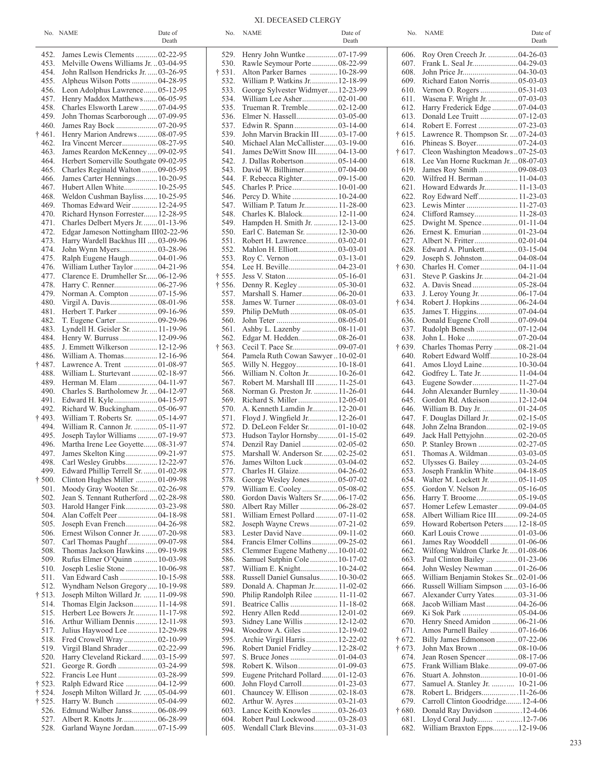| $\mathbf{r}$<br>$\sim$<br>$\Delta$ Date of<br>No.<br>NAME<br>NAME<br>NO. | $\sqrt{1}$<br>Date of<br>AME<br>NO. | Date of |
|--------------------------------------------------------------------------|-------------------------------------|---------|
|--------------------------------------------------------------------------|-------------------------------------|---------|

| 452.                   | James Lewis Clements  02-22-95                                          |
|------------------------|-------------------------------------------------------------------------|
| 453.                   | Melville Owens Williams Jr.  03-04-95                                   |
| 454.                   | John Rallson Hendricks Jr.  03-26-95                                    |
| 455.                   | Alpheus Wilson Potts  04-28-95                                          |
| 456.                   | Leon Adolphus Lawrence 05-12-95                                         |
| 457.                   | Henry Maddox Matthews06-05-95                                           |
| 458.                   | Charles Elsworth Larew  07-04-95                                        |
| 459.                   | John Thomas Scarborough  07-09-95                                       |
| 460.<br>$\dagger$ 461. | James Ray Bock  07-20-95<br>Henry Marion Andrews  08-07-95              |
| 462.                   | Ira Vincent Mercer 08-27-95                                             |
| 463.                   | James Reardon McKenney09-02-95                                          |
| 464.                   | Herbert Somerville Southgate 09-02-95                                   |
| 465.                   | Charles Reginald Walton  09-05-95                                       |
| 466.                   | James Carter Hennings 10-20-95                                          |
| 467.                   | Hubert Allen White 10-25-95                                             |
| 468.                   | Weldon Cushman Bayliss 10-25-95                                         |
| 469.                   | Thomas Edward Weir  12-24-95                                            |
| 470.                   | Richard Hynson Forrester 12-28-95                                       |
| 471.                   | Charles Delbert Myers Jr.  01-13-96                                     |
| 472.                   | Edgar Jameson Nottingham III02-22-96                                    |
| 473.                   | Harry Wardell Backhus III  03-09-96<br>John Wynn Myers03-28-96          |
| 474.<br>475.           | Ralph Eugene Haugh 04-01-96                                             |
| 476.                   | William Luther Taylor  04-21-96                                         |
| 477.                   | Clarence E. Drumheller Sr06-12-96                                       |
| 478.                   | Harry C. Renner 06-27-96                                                |
| 479.                   | Norman A. Compton  07-15-96                                             |
| 480.                   | Virgil A. Davis 08-01-96                                                |
| 481.                   | Herbert T. Parker  09-16-96                                             |
| 482.                   | T. Eugene Carter09-29-96                                                |
| 483.                   | Lyndell H. Geisler Sr.  11-19-96                                        |
| 484.                   | Henry W. Burruss  12-09-96                                              |
| 485.                   | J. Emmett Wilkerson  12-12-96                                           |
| 486.                   | William A. Thomas 12-16-96                                              |
| † 487.                 | Lawrence A. Trent  01-08-97<br>William L. Sturtevant  02-18-97          |
| 488.<br>489.           | Herman M. Elam  04-11-97                                                |
| 490.                   | Charles S. Bartholomew Jr.  04-12-97                                    |
| 491.                   | Edward H. Kyle04-15-97                                                  |
| 492.                   | Richard W. Buckingham 05-06-97                                          |
| † 493.                 | William T. Roberts Sr.  05-14-97                                        |
| 494.                   | William R. Cannon Jr.  05-11-97                                         |
| 495.                   | Joseph Taylor Williams  07-19-97                                        |
| 496.                   | Martha Irene Lee Goyette08-31-97                                        |
| 497.                   | James Skelton King 09-21-97                                             |
| 498.                   | Carl Wesley Grubbs 12-22-97                                             |
| 499.                   | Edward Phillip Terrell Sr.  01-02-98                                    |
| $\dagger$ 500.<br>501. | Clinton Hughes Miller 01-09-98<br>Moody Gray Wooten Sr 02-26-98         |
| 502.                   | Jean S. Tennant Rutherford  02-28-98                                    |
| 503.                   | Harold Hanger Fink 03-23-98                                             |
| 504.                   | Alan Coffelt Peer  04-18-98                                             |
| 505.                   |                                                                         |
| 506.                   | Ernest Wilson Conner Jr.  07-20-98                                      |
| 507.                   | Carl Thomas Paughf09-07-98                                              |
| 508.                   | Thomas Jackson Hawkins  09-19-98                                        |
| 509.                   | Rufus Elmer O'Quinn  10-03-98                                           |
| 510.                   | Joseph Leslie Stone  10-06-98                                           |
| 511.                   | Van Edward Cash  10-15-98                                               |
| 512.<br>† 513.         | Wyndham Nelson Gregory  10-19-98<br>Joseph Milton Willard Jr.  11-09-98 |
| 514.                   | Thomas Elgin Jackson 11-14-98                                           |
| 515.                   | Herbert Lee Bowers Jr.  11-17-98                                        |
| 516.                   | Arthur William Dennis  12-11-98                                         |
| 517.                   | Julius Haywood Lee  12-29-98                                            |
| 518.                   | Fred Crowell Wray 02-10-99                                              |
| 519.                   | Virgil Bland Shrader02-22-99                                            |
| 520.                   | Harry Cleveland Rickard 03-15-99                                        |
| 521.                   | George R. Gordh  03-24-99                                               |
| 522.                   | Francis Lee Hunt  03-28-99                                              |
| † 523.                 | Ralph Edward Rice 04-12-99                                              |
| † 524.                 | Joseph Milton Willard Jr.  05-04-99                                     |
| † 525.<br>526.         | Harry W. Bunch  05-04-99<br>Edmund Walber Janss 06-08-99                |
| 527.                   | Albert R. Knotts Jr 06-28-99                                            |
| 528.                   | Garland Wayne Jordan07-15-99                                            |
|                        |                                                                         |

|                | Death                                                             |                | Death                                                                |                | Death                                                                  |
|----------------|-------------------------------------------------------------------|----------------|----------------------------------------------------------------------|----------------|------------------------------------------------------------------------|
|                | 452. James Lewis Clements  02-22-95                               |                |                                                                      |                | 606. Roy Oren Creech Jr.  04-26-03                                     |
| 453.           | Melville Owens Williams Jr. 03-04-95                              | 530.           | Rawle Seymour Porte 08-22-99                                         | 607.           |                                                                        |
| 454.           | John Rallson Hendricks Jr.  03-26-95                              | † 531.         | Alton Parker Barnes  10-28-99                                        | 608.           |                                                                        |
| 455.           | Alpheus Wilson Potts  04-28-95                                    | 532.           | William P. Watkins Jr 12-18-99                                       | 609.           | Richard Eaton Norris 05-03-03                                          |
|                | 456. Leon Adolphus Lawrence05-12-95                               | 533.           | George Sylvester Widmyer 12-23-99                                    | 610.           | Vernon O. Rogers 05-31-03                                              |
| 457.           | Henry Maddox Matthews06-05-95                                     | 534.           |                                                                      | 611.           | Wasena F. Wright Jr.  07-03-03                                         |
| 458.           | Charles Elsworth Larew 07-04-95                                   | 535.           | Trueman R. Tremble 02-12-00                                          | 612.           | Harry Frederick Edge 07-04-03                                          |
| 459.           | John Thomas Scarborough  07-09-95                                 | 536.           |                                                                      | 613.           |                                                                        |
| 460.           |                                                                   | 537.           |                                                                      | 614.           |                                                                        |
| † 461.         | Henry Marion Andrews08-07-95                                      | 539.           | John Marvin Brackin III 03-17-00                                     | † 615.         | Lawrence R. Thompson Sr.  07-24-03                                     |
| 462.           |                                                                   | 540.           | Michael Alan McCallister03-19-00                                     | 616.           |                                                                        |
| 463.           | James Reardon McKenney09-02-95                                    | 541.           | James DeWitt Snow III 04-13-00                                       | † 617.         | Cleon Washington Meadows07-25-03                                       |
| 464.           | Herbert Somerville Southgate 09-02-95                             | 542.           |                                                                      | 618.           | Lee Van Horne Ruckman Jr08-07-03                                       |
| 465.           | Charles Reginald Walton  09-05-95                                 | 543.           | David W. Billhimer 07-04-00                                          | 619.           |                                                                        |
| 466.           | James Carter Hennings  10-20-95                                   | 544.           |                                                                      | 620.           | Wilfred H. Berman  11-04-03                                            |
| 467.           | Hubert Allen White 10-25-95                                       | 545.           |                                                                      | 621.           | Howard Edwards Jr 11-13-03                                             |
| 468.           | Weldon Cushman Bayliss10-25-95                                    | 546.           | Percy D. White  10-24-00                                             | 622.           | Roy Edward Neff 11-23-03                                               |
| 469.<br>470.   | Thomas Edward Weir 12-24-95<br>Richard Hynson Forrester 12-28-95  | 547.<br>548.   | William P. Tatum Jr 11-28-00<br>Charles K. Blalock 12-11-00          | 623.<br>624.   | Lewis Minter  11-27-03                                                 |
| 471.           | Charles Delbert Myers Jr. 01-13-96                                | 549.           | Hampden H. Smith Jr.  12-13-00                                       | 625.           |                                                                        |
| 472.           | Edgar Jameson Nottingham III02-22-96                              | 550.           | Earl C. Bateman Sr.  12-30-00                                        | 626.           | Ernest K. Emurian 01-23-04                                             |
| 473.           | Harry Wardell Backhus III  03-09-96                               | 551.           |                                                                      | 627.           |                                                                        |
| 474.           |                                                                   | 552.           |                                                                      | 628.           | Edward A. Plunkett03-15-04                                             |
| 475.           | Ralph Eugene Haugh04-01-96                                        | 553.           |                                                                      | 629.           |                                                                        |
| 476.           | William Luther Taylor  04-21-96                                   | 554.           |                                                                      | † 630.         |                                                                        |
| 477.           | Clarence E. Drumheller Sr06-12-96                                 | † 555.         |                                                                      | 631.           |                                                                        |
| 478.           |                                                                   | $\dagger$ 556. | Denny R. Kegley  05-30-01                                            | 632.           |                                                                        |
| 479.           |                                                                   | 557.           | Marshall S. Hamer 06-20-01                                           | 633.           |                                                                        |
| 480.           |                                                                   | 558.           | James W. Turner  08-03-01                                            | † 634.         | Robert J. Hopkins06-24-04                                              |
|                |                                                                   | 559.           |                                                                      | 635.           |                                                                        |
| 482.           |                                                                   | 560.           |                                                                      | 636.           | Donald Eugene Croll07-09-04                                            |
|                | 483. Lyndell H. Geisler Sr.  11-19-96                             | 561.           | Ashby L. Lazenby  08-11-01                                           | 637.           |                                                                        |
|                | 484. Henry W. Burruss  12-09-96                                   | 562.           | Edgar M. Hedden08-26-01                                              | 638.           |                                                                        |
| 485.           | J. Emmett Wilkerson  12-12-96                                     | † 563.         |                                                                      | † 639.         | Charles Thomas Perry  08-21-04                                         |
| 486.           | William A. Thomas 12-16-96                                        |                | 564. Pamela Ruth Cowan Sawyer  10-02-01                              | 640.           | Robert Edward Wolff 10-28-04                                           |
|                | † 487. Lawrence A. Trent  01-08-97                                | 565.           |                                                                      | 641.           | Amos Lloyd Laine 10-30-04                                              |
| 488.           | William L. Sturtevant 02-18-97                                    | 566.           | William N. Colton Jr 10-26-01                                        | 642.           | Godfrey L. Tate Jr 11-04-04                                            |
|                |                                                                   | 567.           | Robert M. Marshall III  11-25-01                                     | 643.           | Eugene Sowder 11-27-04                                                 |
| 490.           | Charles S. Bartholomew Jr.  04-12-97                              | 568.           | Norman G. Preston Jr.  11-26-01                                      | 644.           | John Alexander Burnley 11-30-04                                        |
|                |                                                                   |                | 569. Richard S. Miller  12-05-01                                     | 645.           | Gordon Rd. Atkeison 12-12-04                                           |
| 492.<br>† 493. | Richard W. Buckingham05-06-97<br>William T. Roberts Sr.  05-14-97 | 571.           | 570. A. Kenneth Lamdin Jr 12-20-01<br>Floyd J. Wingfield Jr 12-26-01 | 646.<br>647.   | William B. Day Jr.  01-24-05<br>F. Douglas Dillard Jr 02-15-05         |
| 494.           | William R. Cannon Jr.  05-11-97                                   | 572.           | D. DeLeon Felder Sr 01-10-02                                         | 648.           |                                                                        |
| 495.           | Joseph Taylor Williams 07-19-97                                   | 573.           | Hudson Taylor Hornsby01-15-02                                        | 649.           | Jack Hall Pettyjohn02-20-05                                            |
| 496.           | Martha Irene Lee Goyette08-31-97                                  | 574.           |                                                                      | 650.           |                                                                        |
| 497.           |                                                                   | 575.           | Marshall W. Anderson Sr02-25-02                                      | 651.           | Thomas A. Wildman 03-03-05                                             |
| 498.           | Carl Wesley Grubbs 12-22-97                                       | 576.           |                                                                      | 652.           | Ulysses G. Bailey  03-24-05                                            |
|                | 499. Edward Phillip Terrell Sr.  01-02-98                         | 577.           |                                                                      | 653.           | Joseph Franklin White04-18-05                                          |
|                | † 500. Clinton Hughes Miller 01-09-98                             |                | 578. George Wesley Jones 05-07-02                                    | 654.           | Walter M. Lockett Jr.  05-11-05                                        |
|                | 501. Moody Gray Wooten Sr02-26-98                                 |                | 579. William E. Cooley  05-08-02                                     |                | 655. Gordon V. Nelson Jr 05-16-05                                      |
|                | 502. Jean S. Tennant Rutherford 02-28-98                          | 580.           | Gordon Davis Walters Sr06-17-02                                      |                |                                                                        |
| 503.           | Harold Hanger Fink 03-23-98                                       |                |                                                                      | 657.           | Homer Lefew Lemaster09-04-05                                           |
| 504.           |                                                                   | 581.           | William Ernest Pollard  07-11-02                                     | 658.           | Albert William Rice III 09-24-05                                       |
| 505.           | Joseph Evan French 04-26-98                                       | 582.           | Joseph Wayne Crews07-21-02                                           | 659.           | Howard Robertson Peters 12-18-05                                       |
| 506.           | Ernest Wilson Conner Jr.  07-20-98                                |                |                                                                      |                |                                                                        |
| 507.           | Carl Thomas Paughf09-07-98                                        |                | 584. Francis Elmer Collins 09-25-02                                  | 661.           | James Ray Wooddell  01-06-06                                           |
| 508.           | Thomas Jackson Hawkins  09-19-98                                  | 585.           | Clemmer Eugene Matheny  10-01-02                                     |                | 662. Wilfong Waldron Clarke Jr01-08-06                                 |
| 509.           | Rufus Elmer O'Quinn  10-03-98                                     | 586.           | Samuel Sutphin Cole  10-17-02                                        |                | 663. Paul Clinton Bailey  01-23-06                                     |
| 510.<br>511.   | Joseph Leslie Stone  10-06-98                                     | 587.<br>588.   | Russell Daniel Gunsalus 10-30-02                                     | 664.           | John Wesley Newman 01-26-06<br>665. William Benjamin Stokes Sr02-01-06 |
| 512.           | Van Edward Cash  10-15-98<br>Wyndham Nelson Gregory10-19-98       | 589.           | Donald A. Chapman Jr 11-02-02                                        |                | 666. Russell William Simpson  03-16-06                                 |
| † 513.         | Joseph Milton Willard Jr.  11-09-98                               |                | 590. Philip Randolph Rilee  11-11-02                                 | 667.           | Alexander Curry Yates 03-31-06                                         |
|                | 514. Thomas Elgin Jackson 11-14-98                                | 591.           | Beatrice Callis  11-18-02                                            | 668.           | Jacob William Mast04-26-06                                             |
| 515.           | Herbert Lee Bowers Jr 11-17-98                                    | 592.           |                                                                      | 669.           |                                                                        |
| 516.           | Arthur William Dennis  12-11-98                                   | 593.           | Sidney Lane Willis  12-12-02                                         | 670.           | Henry Sneed Amidon  06-21-06                                           |
| 517.           | Julius Haywood Lee  12-29-98                                      | 594.           | Woodrow A. Giles  12-19-02                                           | 671.           | Amos Purnell Bailey 07-16-06                                           |
| 518.           | Fred Crowell Wray 02-10-99                                        | 595.           | Archie Virgil Harris  12-22-02                                       | † 672.         | Billy James Edmonson 07-22-06                                          |
| 519.           | Virgil Bland Shrader02-22-99                                      | 596.           | Robert Daniel Fridley 12-28-02                                       | † 673.         |                                                                        |
| 520.           | Harry Cleveland Rickard03-15-99                                   | 597.           |                                                                      | 674.           |                                                                        |
| 521.           | George R. Gordh  03-24-99                                         | 598.           |                                                                      | 675.           | Frank William Blake09-07-06                                            |
| 522.           |                                                                   | 599.           | Eugene Pritchard Pollard01-12-03                                     | 676.           |                                                                        |
| † 523.         | Ralph Edward Rice  04-12-99                                       | 600.           |                                                                      | 677.           | Samuel A. Stanley Jr.  10-21-06                                        |
| † 524.         | Joseph Milton Willard Jr. 05-04-99                                | 601.           | Chauncey W. Ellison  02-18-03                                        | 678.           |                                                                        |
| † 525.         |                                                                   |                |                                                                      | 679.           | Carroll Clinton Goodridge 12-4-06                                      |
| 526.           | Edmund Walber Janss06-08-99                                       | 603.           | Lance Keith Knowles03-26-03                                          | $\dagger$ 680. | Donald Ray Davidson 12-4-06                                            |
| 527.           |                                                                   | 604.<br>605.   | Robert Paul Lockwood03-28-03                                         | 681.           | Lloyd Coral Judy  12-7-06                                              |
| 528.           | Garland Wayne Jordan07-15-99                                      |                | Wendall Clark Blevins 03-31-03                                       | 682.           | William Braxton Epps  12-19-06                                         |

| 606.           | Roy Oren Creech Jr.  04-26-03                                |  |
|----------------|--------------------------------------------------------------|--|
| 607.           | Frank L. Seal Jr 04-29-03                                    |  |
| 608.           |                                                              |  |
| 609.           | Richard Eaton Norris05-03-03                                 |  |
| 610.           | Vernon O. Rogers 05-31-03                                    |  |
| 611.           | Wasena F. Wright Jr.  07-03-03                               |  |
| 612.           | Harry Frederick Edge 07-04-03                                |  |
| 613.           | Donald Lee Truitt  07-12-03                                  |  |
| 614.           | Robert E. Forrest  07-23-03                                  |  |
| † 615.         | Lawrence R. Thompson Sr.  07-24-03                           |  |
| 616.           | Phineas S. Boyer07-24-03                                     |  |
| † 617.         | Cleon Washington Meadows07-25-03                             |  |
| 618.           | Lee Van Horne Ruckman Jr.  08-07-03                          |  |
| 619.           | James Roy Smith09-08-03                                      |  |
| 620.           | Wilfred H. Berman  11-04-03                                  |  |
| 621.           | Howard Edwards Jr 11-13-03                                   |  |
| 622.           | Roy Edward Neff 11-23-03                                     |  |
| 623.           | Lewis Minter  11-27-03                                       |  |
| 624.           | Clifford Ramsey 11-28-03                                     |  |
| 625.           | Dwight M. Spence 01-11-04                                    |  |
| 626.           | Ernest K. Emurian 01-23-04<br>Albert N. Fritter02-01-04      |  |
| 627.<br>628.   | Edward A. Plunkett03-15-04                                   |  |
|                |                                                              |  |
| 629.           | Joseph S. Johnston04-08-04                                   |  |
| † 630.<br>631. | Charles H. Comer 04-11-04<br>Steve P. Gaskins Jr 04-21-04    |  |
| 632.           | A. Davis Snead  05-28-04                                     |  |
| 633.           | J. Leroy Young Jr.  06-17-04                                 |  |
| † 634.         | Robert J. Hopkins  06-24-04                                  |  |
| 635.           |                                                              |  |
| 636.           | Donald Eugene Croll07-09-04                                  |  |
| 637.           | Rudolph Benesh  07-12-04                                     |  |
| 638.           | John L. Hoke 07-20-04                                        |  |
| † 639.         | Charles Thomas Perry  08-21-04                               |  |
| 640.           | Robert Edward Wolff 10-28-04                                 |  |
| 641.           | Amos Lloyd Laine 10-30-04                                    |  |
| 642.           | Godfrey L. Tate Jr 11-04-04                                  |  |
| 643.           | Eugene Sowder 11-27-04                                       |  |
| 644.           | John Alexander Burnley  11-30-04                             |  |
| 645.           | Gordon Rd. Atkeison 12-12-04                                 |  |
| 646.           | William B. Day Jr.  01-24-05                                 |  |
| 647.           | F. Douglas Dillard Jr 02-15-05                               |  |
| 648.           | John Zelna Brandon 02-19-05                                  |  |
| 649.           | Jack Hall Pettyjohn02-20-05                                  |  |
| 650.           | P. Stanley Brown  02-27-05                                   |  |
| 651.           | Thomas A. Wildman 03-03-05                                   |  |
| 652.           | Ulysses G. Bailey  03-24-05                                  |  |
| 653.           | Joseph Franklin White 04-18-05                               |  |
| 654.           | Walter M. Lockett Jr.  05-11-05                              |  |
| 655.           | Gordon V. Nelson Jr 05-16-05                                 |  |
| 656.           | Harry T. Broome05-19-05                                      |  |
| 657.           | Homer Lefew Lemaster 09-04-05                                |  |
| 658.           | Albert William Rice III 09-24-05                             |  |
| 659.           | Howard Robertson Peters 12-18-05                             |  |
| 660.           | Karl Louis Crowe  01-03-06                                   |  |
| 661.           | James Ray Wooddell 01-06-06                                  |  |
| 662.           | Wilfong Waldron Clarke Jr.  01-08-06                         |  |
| 663.           | Paul Clinton Bailey 01-23-06                                 |  |
| 664.           | John Wesley Newman 01-26-06                                  |  |
| 665.           | William Benjamin Stokes Sr02-01-06                           |  |
| 666.           | Russell William Simpson  03-16-06                            |  |
| 667.<br>668.   | Alexander Curry Yates03-31-06<br>Jacob William Mast 04-26-06 |  |
| 669.           |                                                              |  |
| 670.           | Henry Sneed Amidon  06-21-06                                 |  |
| 671.           | Amos Purnell Bailey 07-16-06                                 |  |
| $\dagger$ 672. | Billy James Edmonson  07-22-06                               |  |
| $\dagger$ 673. | John Max Brown 08-10-06                                      |  |
| 674.           | Jean Rosen Spencer 08-17-06                                  |  |
| 675.           | Frank William Blake09-07-06                                  |  |
| 676.           | Stuart A. Johnston 10-01-06                                  |  |
| 677.           | Samuel A. Stanley Jr.  10-21-06                              |  |
| 678.           | Robert L. Bridgers11-26-06                                   |  |
| 679.           | Carroll Clinton Goodridge 12-4-06                            |  |
| $\dagger$ 680. | Donald Ray Davidson 12-4-06                                  |  |
| 681.           | Lloyd Coral Judy  12-7-06                                    |  |
| 682.           | William Braxton Epps  12-19-06                               |  |
|                |                                                              |  |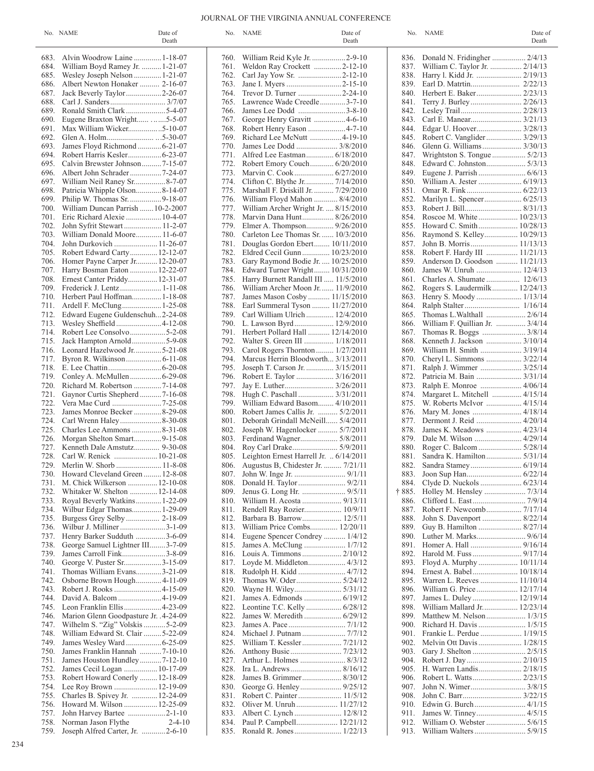## JOURNAL OF THE VIRGINIA ANNUAL CONFERENCE

|      | No. NAME                                                    | Date of<br>Death | No.  | NAME                                           | Date of<br>Death |        | No. NAME                        | Date of<br>Death |
|------|-------------------------------------------------------------|------------------|------|------------------------------------------------|------------------|--------|---------------------------------|------------------|
|      | 683. Alvin Woodrow Laine  1-18-07                           |                  | 760. | William Reid Kyle Jr. 2-9-10                   |                  |        |                                 |                  |
| 684. | William Boyd Ramey Jr.  1-21-07                             |                  | 761. | Weldon Ray Crockett 2-12-10                    |                  | 837.   | William C. Taylor Jr.  2/14/13  |                  |
| 685. |                                                             |                  | 762. | Carl Jay Yow Sr. 2-12-10                       |                  | 838.   |                                 |                  |
| 686. | Albert Newton Honaker  2-16-07                              |                  | 763. |                                                |                  |        |                                 |                  |
| 687. | Jack Beverly Taylor2-26-07                                  |                  | 764. | Trevor D. Turner 2-24-10                       |                  | 840.   |                                 |                  |
| 688. |                                                             |                  | 765. | Lawrence Wade Creedle3-7-10                    |                  | 841.   |                                 |                  |
| 689. | Ronald Smith Clark 5-4-07                                   |                  | 766. | James Lee Dodd 3-8-10                          |                  | 842.   | Lesley Trail 2/28/13            |                  |
| 690. | Eugene Braxton Wright 5-5-07                                |                  | 767. | George Henry Gravitt 4-6-10                    |                  | 843.   |                                 |                  |
| 691. | Max William Wicker5-10-07                                   |                  | 768. |                                                |                  | 844.   |                                 |                  |
| 692. |                                                             |                  | 769. | Richard Lee McNutt 4-19-10                     |                  | 845.   | Robert C. Vanglider  3/29/13    |                  |
| 693. | James Floyd Richmond  6-21-07                               |                  | 770. | James Lee Dodd  3/8/2010                       |                  | 846.   |                                 |                  |
| 694. |                                                             |                  | 771. |                                                |                  | 847.   |                                 |                  |
| 695. | Calvin Brewster Johnson7-15-07                              |                  | 772. | Robert Emory Couch 6/20/2010                   |                  | 848.   |                                 |                  |
| 696. | Albert John Schrader7-24-07                                 |                  | 773. |                                                |                  | 849.   |                                 |                  |
| 697. | William Neil Raney Sr8-7-07                                 |                  | 774. |                                                |                  | 850.   |                                 |                  |
| 698. | Patricia Whipple Olson8-14-07                               |                  | 775. | Marshall F. Driskill Jr.  7/29/2010            |                  | 851.   |                                 |                  |
| 699. | Philip W. Thomas Sr. 9-18-07                                |                  | 776. | William Floyd Mahon  8/4/2010                  |                  | 852.   |                                 |                  |
| 700. | William Duncan Parrish  10-2-2007                           |                  | 777. | William Archer Wright Jr.  8/15/2010           |                  | 853.   |                                 |                  |
| 701. | Eric Richard Alexie  10-4-07                                |                  | 778. | Marvin Dana Hunt 8/26/2010                     |                  | 854.   |                                 |                  |
| 702. |                                                             |                  | 779. |                                                |                  | 855.   |                                 |                  |
| 703. | John Syfrit Stewart 11-2-07<br>William Donald Moore 11-6-07 |                  | 780. | Carleton Lee Thomas Sr.  10/3/2010             |                  | 856.   | Raymond S. Kelley 10/29/13      |                  |
| 704. | John Durkovich  11-26-07                                    |                  | 781. |                                                |                  | 857.   |                                 |                  |
|      |                                                             |                  | 782. | Douglas Gordon Ebert 10/11/2010                |                  |        | Robert F. Hardy III  11/21/13   |                  |
| 705. | Robert Edward Carty 12-12-07                                |                  |      | Eldred Cecil Gunn 10/23/2010                   |                  | 858.   |                                 |                  |
| 706. | Homer Payne Carper Jr 12-20-07                              |                  | 783. | Gary Raymond Bodie Jr.  10/25/2010             |                  | 859.   | Anderson D. Goodson  11/21/13   |                  |
| 707. | Harry Bosman Eaton  12-22-07                                |                  | 784. | Edward Turner Wright 10/31/2010                |                  | 860.   | James W. Unruh  12/4/13         |                  |
|      | 708. Ernest Canter Priddy 12-31-07                          |                  | 785. | Harry Burnett Randall III  11/5/2010           |                  | 861.   |                                 |                  |
|      |                                                             |                  | 786. | William Archer Moon Jr 11/9/2010               |                  | 862.   | Rogers S. Laudermilk 12/24/13   |                  |
|      | 710. Herbert Paul Hoffman 1-18-08                           |                  | 787. | James Mason Cosby 11/15/2010                   |                  |        |                                 |                  |
| 711. |                                                             |                  | 788. | Earl Summeral Tyson  11/27/2010                |                  | 864.   |                                 |                  |
|      | 712. Edward Eugene Guldenschuh2-24-08                       |                  | 789. | Carl William Ulrich  12/4/2010                 |                  | 865.   |                                 |                  |
| 713. | Wesley Sheffield4-12-08                                     |                  | 790. | L. Lawson Byrd 12/9/2010                       |                  | 866.   | William F. Quillian Jr.  3/4/14 |                  |
| 714. |                                                             |                  | 791. | Herbert Pollard Hall  12/14/2010               |                  | 867.   | Thomas R. Boggs  3/8/14         |                  |
| 715. |                                                             |                  | 792. | Walter S. Green III  1/18/2011                 |                  | 868.   |                                 |                  |
|      | 716. Leonard Hazelwood Jr5-21-08                            |                  | 793. | Carol Rogers Thornton 1/27/2011                |                  | 869.   | William H. Smith  3/19/14       |                  |
| 717. |                                                             |                  | 794. | Marcus Herrin Bloodworth 3/13/2011             |                  | 870.   | Cheryl L. Simmons  3/22/14      |                  |
|      |                                                             |                  | 795. | Joseph T. Carson Jr.  3/15/2011                |                  | 871.   | Ralph J. Wimmer  3/25/14        |                  |
| 719. |                                                             |                  | 796. | Robert E. Taylor  3/16/2011                    |                  | 872.   |                                 |                  |
| 720. |                                                             |                  | 797. |                                                |                  | 873.   |                                 |                  |
| 721. | Gaynor Curtis Shepherd 7-16-08                              |                  | 798. | Hugh C. Paschall  3/31/2011                    |                  | 874.   | Margaret L. Mitchell  4/15/14   |                  |
| 722. |                                                             |                  | 799. | William Edward Basom 4/10/2011                 |                  | 875.   |                                 |                  |
| 723. | James Monroe Becker 8-29-08                                 |                  | 800. | Robert James Callis Jr.  5/2/2011              |                  | 876.   |                                 |                  |
| 724. |                                                             |                  | 801. | Deborah Grindall McNeill 5/4/2011              |                  | 877.   |                                 |                  |
| 725. | Charles Lee Ammons 8-31-08                                  |                  | 802. | Joseph W. Hagenlocker  5/7/2011                |                  | 878.   |                                 |                  |
| 726. | Morgan Shelton Smart9-15-08                                 |                  | 803. |                                                |                  | 879.   |                                 |                  |
| 727. | Kenneth Dale Amstutz 9-30-08                                |                  | 804. | Roy Carl Drake 5/9/2011                        |                  | 880.   |                                 |                  |
| 728. | Carl W. Renick  10-21-08                                    |                  | 805. | Leighton Ernest Harrell Jr. $\ldots$ 6/14/2011 |                  | 881.   | Sandra K. Hamilton  5/31/14     |                  |
|      | 729. Merlin W. Shorb  11-8-08                               |                  | 806. | Augustus B, Chidester Jr.  7/21/11             |                  | 882.   |                                 |                  |
|      | 730. Howard Cleveland Green  12-8-08                        |                  |      |                                                |                  | 883.   |                                 |                  |
| 731. | M. Chick Wilkerson  12-10-08                                |                  | 808. |                                                |                  | 884.   | Clyde D. Nuckols  6/23/14       |                  |
| 732. | Whitaker W. Shelton  12-14-08                               |                  | 809. |                                                |                  | † 885. |                                 |                  |
| 733. | Royal Beverly Watkins 1-22-09                               |                  | 810. |                                                |                  | 886.   |                                 |                  |
| 734. | Wilbur Edgar Thomas 1-29-09                                 |                  | 811. |                                                |                  | 887.   | Robert F. Newcomb 7/17/14       |                  |
| 735. | Burgess Grey Selby 2-18-09                                  |                  | 812. | Barbara B. Barrow 12/5/11                      |                  | 888.   | John S. Davenport  8/22/14      |                  |
| 736. | Wilbur J. Milliner 3-1-09                                   |                  | 813. | William Price Combs 12/20/11                   |                  | 889.   | Guy B. Hamilton  8/27/14        |                  |
| 737. | Henry Barker Sudduth 3-6-09                                 |                  | 814. | Eugene Spencer Condrey  1/4/12                 |                  | 890.   |                                 |                  |
| 738. | George Samuel Lightner III3-7-09                            |                  | 815. |                                                |                  | 891.   |                                 |                  |
| 739. | James Carroll Fink3-8-09                                    |                  | 816. | Louis A. Timmons  2/10/12                      |                  | 892.   | Harold M. Fuss  9/17/14         |                  |
| 740. | George V. Puster Sr3-15-09                                  |                  | 817. |                                                |                  | 893.   | Floyd A. Murphy  10/11/14       |                  |
| 741. | Thomas William Evans3-21-09                                 |                  | 818. | Rudolph H. Kidd  4/7/12                        |                  | 894.   | Ernest A. Babel 10/18/14        |                  |
| 742. | Osborne Brown Hough4-11-09                                  |                  | 819. |                                                |                  | 895.   | Warren L. Reeves  11/10/14      |                  |
| 743. | Robert J. Rooks 4-15-09                                     |                  | 820. | Wayne H. Wiley 5/31/12                         |                  | 896.   | William G. Price 12/17/14       |                  |
| 744. |                                                             |                  | 821. |                                                |                  | 897.   |                                 |                  |
| 745. | Leon Franklin Ellis  4-23-09                                |                  | 822. | Leontine T.C. Kelly  6/28/12                   |                  | 898.   | William Mallard Jr 12/23/14     |                  |
| 746. | Marion Glenn Goodpasture Jr. . 4-24-09                      |                  | 822. | James W. Meredith  6/29/12                     |                  |        | 899. Matthew M. Nelson 1/3/15   |                  |
| 747. | Wilhelm S. "Zig" Volskis  5-2-09                            |                  | 823. |                                                |                  | 900.   | Richard H. Davis  1/5/15        |                  |
| 748. | William Edward St. Clair  5-22-09                           |                  | 824. | Michael J. Putnam  7/7/12                      |                  | 901.   | Frankie L. Perdue  1/19/15      |                  |
| 749. |                                                             |                  | 825. | William T. Kessler 7/21/12                     |                  | 902.   | Melvin Ott Davis 1/28/15        |                  |
| 750. | James Franklin Hannah 7-10-10                               |                  | 826. |                                                |                  | 903.   | Gary J. Shelton  2/5/15         |                  |
| 751. | James Houston Hundley7-12-10                                |                  | 827. | Arthur L. Holmes  8/3/12                       |                  | 904.   |                                 |                  |
| 752. | James Cecil Logan  10-17-09                                 |                  | 828. |                                                |                  | 905.   | H. Warren Landis 2/18/15        |                  |
| 753. | Robert Howard Conerly  12-18-09                             |                  | 828. | James B. Grimmer 8/30/12                       |                  | 906.   | Robert L. Watts 2/23/15         |                  |
| 754. | Lee Roy Brown  12-19-09                                     |                  | 830. | George G. Henley 9/25/12                       |                  | 907.   |                                 |                  |
| 755. | Charles B. Spivey Jr.  12-24-09                             |                  | 831. | Robert C. Painter  11/5/12                     |                  | 908.   | John C. Barr 3/22/15            |                  |
| 756. | Howard M. Wilson  12-25-09                                  |                  | 832. | Oliver M. Unruh  11/27/12                      |                  | 910.   |                                 |                  |
| 757. | John Harvey Bartee 2-1-10                                   |                  | 833. | Albert C. Lynch  12/8/12                       |                  | 911.   | James W. Tinney 4/5/15          |                  |
| 758. | Norman Jason Flythe                                         | $2 - 4 - 10$     | 834. | Paul P. Campbell 12/21/12                      |                  | 912.   | William O. Webster  5/6/15      |                  |
| 759. | Joseph Alfred Carter, Jr. 2-6-10                            |                  | 835. | Ronald R. Jones  1/22/13                       |                  | 913.   |                                 |                  |

| 760.         | William Reid Kyle Jr. 2-9-10                                      |
|--------------|-------------------------------------------------------------------|
| 761.         | Weldon Ray Crockett 2-12-10                                       |
| 762.         | Carl Jay Yow Sr. 2-12-10                                          |
| 763.         | Jane I. Myers 2-15-10                                             |
| 764.         | Trevor D. Turner 2-24-10                                          |
| 765.         | Lawrence Wade Creedle3-7-10                                       |
| 766.         | James Lee Dodd 3-8-10                                             |
| 767.         | George Henry Gravitt 4-6-10                                       |
| 768.         | Robert Henry Eason  4-7-10                                        |
| 769.         | Richard Lee McNutt 4-19-10                                        |
| 770.         | James Lee Dodd  3/8/2010                                          |
| 771.         | Alfred Lee Eastman 6/18/2010                                      |
| 772.         | Robert Emory Couch 6/20/2010                                      |
| 773.         | Marvin C. Cook  6/27/2010                                         |
| 774.         | Clifton C. Blythe Jr 7/14/2010                                    |
| 775.         | Marshall F. Driskill Jr.  7/29/2010                               |
| 776.         | William Floyd Mahon  8/4/2010                                     |
| 777.         | William Archer Wright Jr.  8/15/2010                              |
| 778.         | Marvin Dana Hunt 8/26/2010                                        |
| 779.         | Elmer A. Thompson 9/26/2010                                       |
| 780.         | Carleton Lee Thomas Sr.  10/3/2010                                |
| 781.         | Douglas Gordon Ebert 10/11/2010                                   |
| 782.         | Eldred Cecil Gunn  10/23/2010                                     |
| 783.         | Gary Raymond Bodie Jr.  10/25/2010                                |
| 784.         | Edward Turner Wright 10/31/2010                                   |
| 785.         | Harry Burnett Randall III  11/5/2010                              |
| 786.         | William Archer Moon Jr.  11/9/2010                                |
| 787.         | James Mason Cosby  11/15/2010                                     |
| 788.         | Earl Summeral Tyson  11/27/2010                                   |
| 789.         | Carl William Ulrich  12/4/2010                                    |
| 790.         | L. Lawson Byrd 12/9/2010                                          |
| 791.         | Herbert Pollard Hall  12/14/2010                                  |
| 792.         | Walter S. Green III  1/18/2011                                    |
| 793.         | Carol Rogers Thornton  1/27/2011                                  |
| 794.         | Marcus Herrin Bloodworth 3/13/2011                                |
| 795.         | Joseph T. Carson Jr.  3/15/2011                                   |
| 796.         |                                                                   |
| 797.         | Robert E. Taylor  3/16/2011<br>Jay E. Luther 3/26/2011            |
| 798.         |                                                                   |
| 799.         | Hugh C. Paschall  3/31/2011                                       |
|              | William Edward Basom 4/10/2011                                    |
| 800.<br>801. | Robert James Callis Jr.  5/2/2011                                 |
|              | Deborah Grindall McNeill 5/4/2011                                 |
| 802.         | Joseph W. Hagenlocker  5/7/2011                                   |
| 803.         | Ferdinand Wagner 5/8/2011                                         |
| 804.         | Roy Carl Drake 5/9/2011<br>Leighton Ernest Harrell Jr.  6/14/2011 |
| 805.<br>806. | Augustus B, Chidester Jr.  7/21/11                                |
| 807.         |                                                                   |
| 808.         | Donald H. Taylor 9/2/11                                           |
|              |                                                                   |
| 809.         | Jenus G. Long Hr.  9/5/11<br>William H. Acosta  9/13/11           |
| 810.         |                                                                   |
| 811.<br>812. | Rendell Ray Rozier 10/9/11<br>Barbara B. Barrow 12/5/11           |
| 813.         | William Price Combs 12/20/11                                      |
| 814.         |                                                                   |
| 815.         | Eugene Spencer Condrey  1/4/12                                    |
| 816.         | James A. McClung  1/7/12                                          |
| 817.         | Louis A. Timmons  2/10/12<br>Loyde M. Middleton 4/3/12            |
| 818.         | Rudolph H. Kidd  4/7/12                                           |
| 819.         | Thomas W. Oder 5/24/12                                            |
| 820.         |                                                                   |
| 821.         | Wayne H. Wiley 5/31/12<br>James A. Edmonds  6/19/12               |
| 822.         | Leontine T.C. Kelly  6/28/12                                      |
| 822.         | James W. Meredith  6/29/12                                        |
|              | James A. Pace  7/1/12                                             |
| 823.<br>824. | Michael J. Putnam  7/7/12                                         |
| 825.         | William T. Kessler  7/21/12                                       |
|              |                                                                   |
| 826.         | Anthony Busic  7/23/12                                            |
| 827.         | Arthur L. Holmes  8/3/12                                          |
| 828.         | Ira L. Andrews 8/16/12                                            |
| 828.         | James B. Grimmer 8/30/12                                          |
| 830.         | George G. Henley 9/25/12                                          |
| 831.         | Robert C. Painter  11/5/12                                        |
| 832.         | Oliver M. Unruh  11/27/12                                         |
| 833.         | Albert C. Lynch  12/8/12                                          |
| 834.         | Paul P. Campbell 12/21/12                                         |
| 835.         | Ronald R. Jones 1/22/13                                           |

| 836.   | Donald N. Fridingher  2/4/13    |
|--------|---------------------------------|
|        |                                 |
| 837.   | William C. Taylor Jr.  2/14/13  |
| 838.   | Harry 1. Kidd Jr.  2/19/13      |
| 839.   | Earl D. Matrtin 2/22/13         |
|        | Herbert E. Baker 2/23/13        |
| 840.   |                                 |
| 841.   | Terry J. Burley 2/26/13         |
| 842.   | Lesley Trail 2/28/13            |
|        |                                 |
| 843.   |                                 |
| 844.   | Edgar U. Hoover 3/28/13         |
| 845.   | Robert C. Vanglider 3/29/13     |
|        | Glenn G. Williams 3/30/13       |
| 846.   |                                 |
| 847.   | Wrightston S. Tongue  5/2/13    |
| 848.   | Edward C. Johnston 5/3/13       |
| 849.   |                                 |
|        |                                 |
| 850.   | William A. Jester  6/19/13      |
| 851.   |                                 |
| 852.   | Marilyn L. Spencer 6/25/13      |
|        |                                 |
| 853.   | Robert J. Bill 8/31/13          |
| 854.   | Roscoe M. White 10/23/13        |
| 855.   | Howard C. Smith 10/28/13        |
|        |                                 |
| 856.   | Raymond S. Kelley 10/29/13      |
| 857.   | John B. Morris  11/13/13        |
| 858.   | Robert F. Hardy III  11/21/13   |
|        |                                 |
| 859.   | Anderson D. Goodson  11/21/13   |
| 860.   | James W. Unruh  12/4/13         |
| 861.   | Charles A. Shumate  12/6/13     |
|        |                                 |
| 862.   | Rogers S. Laudermilk 12/24/13   |
| 863.   | Henry S. Moody  1/13/14         |
| 864.   | Ralph Stalter  1/16/14          |
| 865.   | Thomas L.Walthall  2/6/14       |
|        |                                 |
| 866.   | William F. Quillian Jr.  3/4/14 |
| 867.   | Thomas R. Boggs  3/8/14         |
| 868.   | Kenneth J. Jackson  3/10/14     |
| 869.   | William H. Smith  3/19/14       |
|        |                                 |
| 870.   | Cheryl L. Simmons  3/22/14      |
| 871.   | Ralph J. Wimmer  3/25/14        |
| 872.   | Patricia M. Bain  3/31/14       |
| 873.   | Ralph E. Monroe  4/06/14        |
|        |                                 |
| 874.   | Margaret L. Mitchell  4/15/14   |
| 875.   | W. Roberts McIvor  4/15/14      |
| 876.   | Mary M. Jones  4/18/14          |
| 877.   | Dermont J. Reid  4/20/14        |
|        |                                 |
| 878.   | James K. Meadows  4/23/14       |
| 879.   | Dale M. Wilson  4/29/14         |
| 880.   | Roger C. Balcom  5/28/14        |
| 881.   | Sandra K. Hamilton  5/31/14     |
|        |                                 |
| 882.   |                                 |
| 883.   | Joon Sup Han 6/22/14            |
| 884.   | Clyde D. Nuckols  6/23/14       |
| † 885. | Holley M. Hensley  7/3/14       |
| 886.   |                                 |
|        |                                 |
| 887.   | Robert F. Newcomb 7/17/14       |
| 888.   | John S. Davenport  8/22/14      |
| 889.   | Guy B. Hamilton  8/27/14        |
|        | Luther M. Marks 9/6/14          |
| 890.   |                                 |
| 891.   | Homer A. Hall  9/16/14          |
| 892.   |                                 |
| 893.   | Floyd A. Murphy  10/11/14       |
|        | Ernest A. Babel 10/18/14        |
| 894.   |                                 |
| 895.   | Warren L. Reeves  11/10/14      |
| 896.   | William G. Price 12/17/14       |
| 897.   | James L. Duley 12/19/14         |
|        |                                 |
| 898.   | William Mallard Jr 12/23/14     |
| 899.   | Matthew M. Nelson 1/3/15        |
| 900.   | Richard H. Davis  1/5/15        |
| 901.   | Frankie L. Perdue  1/19/15      |
|        |                                 |
| 902.   | Melvin Ott Davis 1/28/15        |
| 903.   |                                 |
| 904.   |                                 |
| 905.   | H. Warren Landis 2/18/15        |
|        |                                 |
| 906.   | Robert L. Watts 2/23/15         |
| 907.   | John N. Wimer 3/8/15            |
| 908.   | John C. Barr 3/22/15            |
| 910.   | Edwin G. Burch 4/1/15           |
| 911.   | James W. Tinney 4/5/15          |
|        |                                 |
| 912.   | William O. Webster  5/6/15      |
| 913.   | William Walters  5/9/15         |